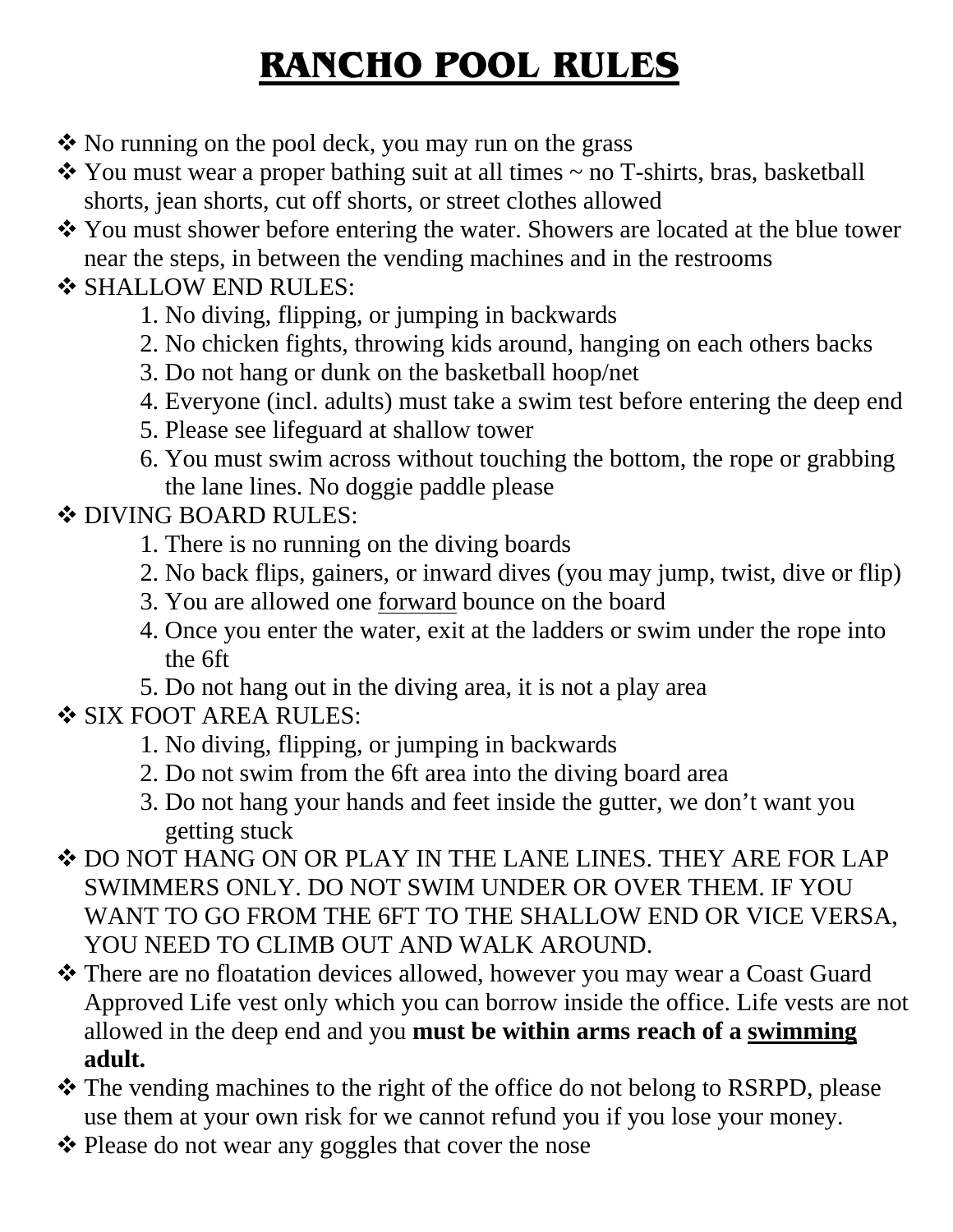# **RANCHO POOL RULES**

- $\cdot$  No running on the pool deck, you may run on the grass
- $\cdot$  You must wear a proper bathing suit at all times  $\sim$  no T-shirts, bras, basketball shorts, jean shorts, cut off shorts, or street clothes allowed
- You must shower before entering the water. Showers are located at the blue tower near the steps, in between the vending machines and in the restrooms

### **❖ SHALLOW END RULES:**

- 1. No diving, flipping, or jumping in backwards
- 2. No chicken fights, throwing kids around, hanging on each others backs
- 3. Do not hang or dunk on the basketball hoop/net
- 4. Everyone (incl. adults) must take a swim test before entering the deep end
- 5. Please see lifeguard at shallow tower
- 6. You must swim across without touching the bottom, the rope or grabbing the lane lines. No doggie paddle please

#### **❖ DIVING BOARD RULES:**

- 1. There is no running on the diving boards
- 2. No back flips, gainers, or inward dives (you may jump, twist, dive or flip)
- 3. You are allowed one forward bounce on the board
- 4. Once you enter the water, exit at the ladders or swim under the rope into the 6ft
- 5. Do not hang out in the diving area, it is not a play area

### **❖ SIX FOOT AREA RULES:**

- 1. No diving, flipping, or jumping in backwards
- 2. Do not swim from the 6ft area into the diving board area
- 3. Do not hang your hands and feet inside the gutter, we don't want you getting stuck
- DO NOT HANG ON OR PLAY IN THE LANE LINES. THEY ARE FOR LAP SWIMMERS ONLY. DO NOT SWIM UNDER OR OVER THEM. IF YOU WANT TO GO FROM THE 6FT TO THE SHALLOW END OR VICE VERSA, YOU NEED TO CLIMB OUT AND WALK AROUND.
- \* There are no floatation devices allowed, however you may wear a Coast Guard Approved Life vest only which you can borrow inside the office. Life vests are not allowed in the deep end and you **must be within arms reach of a swimming adult.**
- The vending machines to the right of the office do not belong to RSRPD, please use them at your own risk for we cannot refund you if you lose your money.
- ❖ Please do not wear any goggles that cover the nose